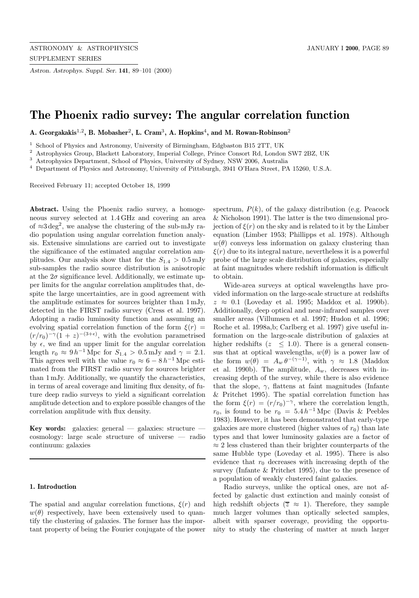*Astron. Astrophys. Suppl. Ser.* **141**, 89–101 (2000)

# **The Phoenix radio survey: The angular correlation function**

**A. Georgakakis**<sup>1</sup>,<sup>2</sup>**, B. Mobasher**<sup>2</sup>**, L. Cram**<sup>3</sup>**, A. Hopkins**<sup>4</sup>**, and M. Rowan-Robinson**<sup>2</sup>

<sup>1</sup> School of Physics and Astronomy, University of Birmingham, Edgbaston B15 2TT, UK<br><sup>2</sup> Astronomy Plaslett Laboratory, Imperial Gallery Prince Cancert Bd, Landar

<sup>2</sup> Astrophysics Group, Blackett Laboratory, Imperial College, Prince Consort Rd, London SW7 2BZ, UK

<sup>3</sup> Astrophysics Department, School of Physics, University of Sydney, NSW 2006, Australia

<sup>4</sup> Department of Physics and Astronomy, University of Pittsburgh, 3941 O'Hara Street, PA 15260, U.S.A.

Received February 11; accepted October 18, 1999

**Abstract.** Using the Phoenix radio survey, a homogeneous survey selected at 1.4 GHz and covering an area of  $\approx 3 \text{ deg}^2$ , we analyse the clustering of the sub-mJy radio population using angular correlation function analysis. Extensive simulations are carried out to investigate the significance of the estimated angular correlation amplitudes. Our analysis show that for the  $S_{1.4} > 0.5$  mJy sub-samples the radio source distribution is anisotropic at the  $2\sigma$  significance level. Additionally, we estimate upper limits for the angular correlation amplitudes that, despite the large uncertainties, are in good agreement with the amplitude estimates for sources brighter than 1 mJy, detected in the FIRST radio survey (Cress et al. 1997). Adopting a radio luminosity function and assuming an evolving spatial correlation function of the form  $\xi(r)$  =  $(r/r_0)^{-\gamma}(1+z)^{-(3+\epsilon)}$ , with the evolution parametrised by  $\epsilon$ , we find an upper limit for the angular correlation length  $r_0 \approx 9 h^{-1}$  Mpc for  $S_{1.4} > 0.5$  mJy and  $\gamma = 2.1$ . This agrees well with the value  $r_0 \approx 6 - 8 h^{-1}$  Mpc estimated from the FIRST radio survey for sources brighter than 1 mJy. Additionally, we quantify the characteristics, in terms of areal coverage and limiting flux density, of future deep radio surveys to yield a significant correlation amplitude detection and to explore possible changes of the correlation amplitude with flux density.

Key words: galaxies: general — galaxies: structure cosmology: large scale structure of universe — radio continuum: galaxies

## **1. Introduction**

The spatial and angular correlation functions,  $\xi(r)$  and  $w(\theta)$  respectively, have been extensively used to quantify the clustering of galaxies. The former has the important property of being the Fourier conjugate of the power

spectrum,  $P(k)$ , of the galaxy distribution (e.g. Peacock & Nicholson 1991). The latter is the two dimensional projection of  $\xi(r)$  on the sky and is related to it by the Limber equation (Limber 1953; Phillipps et al. 1978). Although  $w(\theta)$  conveys less information on galaxy clustering than  $\xi(r)$  due to its integral nature, nevertheless it is a powerful probe of the large scale distribution of galaxies, especially at faint magnitudes where redshift information is difficult to obtain.

Wide-area surveys at optical wavelengths have provided information on the large-scale structure at redshifts  $z \approx 0.1$  (Loveday et al. 1995; Maddox et al. 1990b). Additionally, deep optical and near-infrared samples over smaller areas (Villumsen et al. 1997; Hudon et al. 1996; Roche et al. 1998a,b; Carlberg et al. 1997) give useful information on the large-scale distribution of galaxies at higher redshifts ( $z \leq 1.0$ ). There is a general consensus that at optical wavelengths,  $w(\theta)$  is a power law of the form  $w(\theta) = A_w \theta^{-(\gamma-1)}$ , with  $\gamma \approx 1.8$  (Maddox et al. 1990b). The amplitude,  $A_w$ , decreases with increasing depth of the survey, while there is also evidence that the slope,  $\gamma$ , flattens at faint magnitudes (Infante & Pritchet 1995). The spatial correlation function has the form  $\xi(r)=(r/r_0)^{-\gamma}$ , where the correlation length,  $r_0$ , is found to be  $r_0 = 5.4 h^{-1}$  Mpc (Davis & Peebles 1983). However, it has been demonstrated that early-type galaxies are more clustered (higher values of  $r_0$ ) than late types and that lower luminosity galaxies are a factor of  $\approx$  2 less clustered than their brighter counterparts of the same Hubble type (Loveday et al. 1995). There is also evidence that  $r_0$  decreases with increasing depth of the survey (Infante & Pritchet 1995), due to the presence of a population of weakly clustered faint galaxies.

Radio surveys, unlike the optical ones, are not affected by galactic dust extinction and mainly consist of high redshift objects ( $\overline{z} \approx 1$ ). Therefore, they sample much larger volumes than optically selected samples, albeit with sparser coverage, providing the opportunity to study the clustering of matter at much larger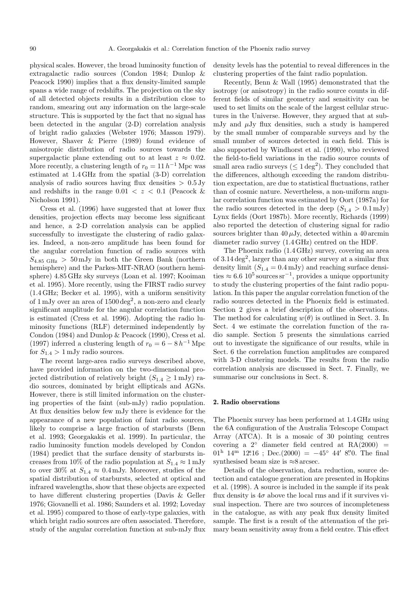physical scales. However, the broad luminosity function of extragalactic radio sources (Condon 1984; Dunlop & Peacock 1990) implies that a flux density-limited sample spans a wide range of redshifts. The projection on the sky of all detected objects results in a distribution close to random, smearing out any information on the large-scale structure. This is supported by the fact that no signal has been detected in the angular (2-D) correlation analysis of bright radio galaxies (Webster 1976; Masson 1979). However, Shaver & Pierre (1989) found evidence of anisotropic distribution of radio sources towards the supergalactic plane extending out to at least  $z \approx 0.02$ . More recently, a clustering length of  $r_0 = 11 h^{-1}$  Mpc was estimated at 1.4 GHz from the spatial (3-D) correlation analysis of radio sources having flux densities  $> 0.5$  Jy and redshifts in the range  $0.01 < z < 0.1$  (Peacock & Nicholson 1991).

Cress et al. (1996) have suggested that at lower flux densities, projection effects may become less significant and hence, a 2-D correlation analysis can be applied successfully to investigate the clustering of radio galaxies. Indeed, a non-zero amplitude has been found for the angular correlation function of radio sources with  $S_{4.85\text{ GHz}} > 50\text{ mJy}$  in both the Green Bank (northern hemisphere) and the Parkes-MIT-NRAO (southern hemisphere) 4.85 GHz sky surveys (Loan et al. 1997; Kooiman et al. 1995). More recently, using the FIRST radio survey (1.4 GHz; Becker et al. 1995), with a uniform sensitivity of  $1 \,\mathrm{mJy}$  over an area of  $1500 \,\mathrm{deg}^2$ , a non-zero and clearly significant amplitude for the angular correlation function is estimated (Cress et al. 1996). Adopting the radio luminosity functions (RLF) determined independently by Condon (1984) and Dunlop & Peacock (1990), Cress et al. (1997) inferred a clustering length of  $r_0 = 6 - 8 h^{-1}$  Mpc for  $S_{1,4} > 1$  mJy radio sources.

The recent large-area radio surveys described above, have provided information on the two-dimensional projected distribution of relatively bright  $(S_{1,4} \geq 1 \,\mathrm{mJy})$  radio sources, dominated by bright ellipticals and AGNs. However, there is still limited information on the clustering properties of the faint (sub-mJy) radio population. At flux densities below few mJy there is evidence for the appearance of a new population of faint radio sources, likely to comprise a large fraction of starbursts (Benn et al. 1993; Georgakakis et al. 1999). In particular, the radio luminosity function models developed by Condon (1984) predict that the surface density of starbursts increases from 10% of the radio population at  $S_{1.4} \approx 1 \,\mathrm{mJy}$ to over 30% at  $S_{1.4} \approx 0.4 \,\mathrm{mJy}$ . Moreover, studies of the spatial distribution of starbursts, selected at optical and infrared wavelengths, show that these objects are expected to have different clustering properties (Davis & Geller 1976; Giovanelli et al. 1986; Saunders et al. 1992; Loveday et al. 1995) compared to those of early-type galaxies, with which bright radio sources are often associated. Therefore, study of the angular correlation function at sub-mJy flux density levels has the potential to reveal differences in the clustering properties of the faint radio population.

Recently, Benn & Wall (1995) demonstrated that the isotropy (or anisotropy) in the radio source counts in different fields of similar geometry and sensitivity can be used to set limits on the scale of the largest cellular structures in the Universe. However, they argued that at submJy and  $\mu$ Jy flux densities, such a study is hampered by the small number of comparable surveys and by the small number of sources detected in each field. This is also supported by Windhorst et al. (1990), who reviewed the field-to-field variations in the radio source counts of small area radio surveys ( $\leq 1 \text{ deg}^2$ ). They concluded that the differences, although exceeding the random distribution expectation, are due to statistical fluctuations, rather than of cosmic nature. Nevertheless, a non-uniform angular correlation function was estimated by Oort (1987a) for the radio sources detected in the deep  $(S_{1.4} > 0.1 \,\mathrm{mJy})$ Lynx fields (Oort 1987b). More recently, Richards (1999) also reported the detection of clustering signal for radio sources brighter than  $40 \mu Jy$ , detected within a  $40 \text{ arcmin}$ diameter radio survey (1.4 GHz) centred on the HDF.

The Phoenix radio (1.4 GHz) survey, covering an area of 3.14 deg<sup>2</sup>, larger than any other survey at a similar flux density limit  $(S_{1.4} = 0.4 \,\mathrm{mJy})$  and reaching surface densities  $\approx 6.6 \times 10^5$  sources sr<sup>-1</sup>, provides a unique opportunity to study the clustering properties of the faint radio population. In this paper the angular correlation function of the radio sources detected in the Phoenix field is estimated. Section 2 gives a brief description of the observations. The method for calculating  $w(\theta)$  is outlined in Sect. 3. In Sect. 4 we estimate the correlation function of the radio sample. Section 5 presents the simulations carried out to investigate the significance of our results, while in Sect. 6 the correlation function amplitudes are compared with 3-D clustering models. The results from the radio correlation analysis are discussed in Sect. 7. Finally, we summarise our conclusions in Sect. 8.

### **2. Radio observations**

The Phoenix survey has been performed at 1.4 GHz using the 6A configuration of the Australia Telescope Compact Array (ATCA). It is a mosaic of 30 pointing centres covering a  $2°$  diameter field centred at  $RA(2000)$  =  $01<sup>h</sup>$   $14<sup>m</sup>$   $12<sup>s</sup>16$ ; Dec.(2000) =  $-45<sup>°</sup>$   $44'$  8. O. The final synthesised beam size is  $\approx 8$  arcsec.

Details of the observation, data reduction, source detection and catalogue generation are presented in Hopkins et al. (1998). A source is included in the sample if its peak flux density is  $4\sigma$  above the local rms and if it survives visual inspection. There are two sources of incompleteness in the catalogue, as with any peak flux density limited sample. The first is a result of the attenuation of the primary beam sensitivity away from a field centre. This effect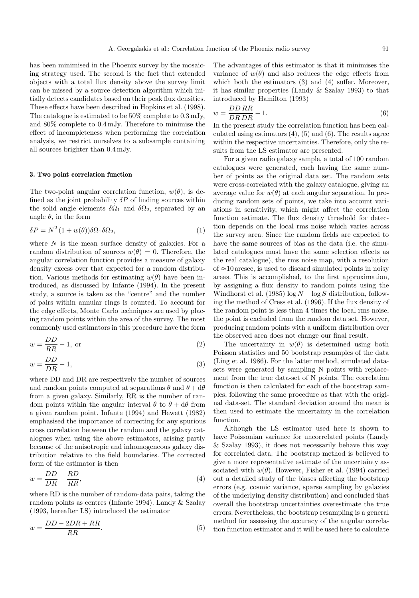has been minimised in the Phoenix survey by the mosaicing strategy used. The second is the fact that extended objects with a total flux density above the survey limit can be missed by a source detection algorithm which initially detects candidates based on their peak flux densities. These effects have been described in Hopkins et al. (1998). The catalogue is estimated to be 50% complete to 0.3 mJy, and 80% complete to 0.4 mJy. Therefore to minimise the effect of incompleteness when performing the correlation analysis, we restrict ourselves to a subsample containing all sources brighter than 0.4 mJy.

#### **3. Two point correlation function**

The two-point angular correlation function,  $w(\theta)$ , is defined as the joint probability  $\delta P$  of finding sources within the solid angle elements  $\delta\Omega_1$  and  $\delta\Omega_2$ , separated by an angle  $\theta$ , in the form

$$
\delta P = N^2 (1 + w(\theta)) \delta \Omega_1 \delta \Omega_2, \tag{1}
$$

where  $N$  is the mean surface density of galaxies. For a random distribution of sources  $w(\theta) = 0$ . Therefore, the angular correlation function provides a measure of galaxy density excess over that expected for a random distribution. Various methods for estimating  $w(\theta)$  have been introduced, as discussed by Infante (1994). In the present study, a source is taken as the "centre" and the number of pairs within annular rings is counted. To account for the edge effects, Monte Carlo techniques are used by placing random points within the area of the survey. The most commonly used estimators in this procedure have the form

$$
w = \frac{DD}{RR} - 1, \text{ or } \tag{2}
$$

$$
w = \frac{DD}{DR} - 1,\tag{3}
$$

where DD and DR are respectively the number of sources and random points computed at separations  $\theta$  and  $\theta + d\theta$ from a given galaxy. Similarly, RR is the number of random points within the angular interval  $\theta$  to  $\theta + d\theta$  from a given random point. Infante (1994) and Hewett (1982) emphasised the importance of correcting for any spurious cross correlation between the random and the galaxy catalogues when using the above estimators, arising partly because of the anisotropic and inhomogeneous galaxy distribution relative to the field boundaries. The corrected form of the estimator is then

$$
w = \frac{DD}{DR} - \frac{RD}{RR},\tag{4}
$$

where RD is the number of random-data pairs, taking the random points as centres (Infante 1994). Landy & Szalay (1993, hereafter LS) introduced the estimator

$$
w = \frac{DD - 2DR + RR}{RR}.\tag{5}
$$

The advantages of this estimator is that it minimises the variance of  $w(\theta)$  and also reduces the edge effects from which both the estimators (3) and (4) suffer. Moreover, it has similar properties (Landy & Szalay 1993) to that introduced by Hamilton (1993)

$$
w = \frac{DD\,RR}{DR\,DR} - 1.\tag{6}
$$

In the present study the correlation function has been calculated using estimators  $(4)$ ,  $(5)$  and  $(6)$ . The results agree within the respective uncertainties. Therefore, only the results from the LS estimator are presented.

For a given radio galaxy sample, a total of 100 random catalogues were generated, each having the same number of points as the original data set. The random sets were cross-correlated with the galaxy catalogue, giving an average value for  $w(\theta)$  at each angular separation. In producing random sets of points, we take into account variations in sensitivity, which might affect the correlation function estimate. The flux density threshold for detection depends on the local rms noise which varies across the survey area. Since the random fields are expected to have the same sources of bias as the data (i.e. the simulated catalogues must have the same selection effects as the real catalogue), the rms noise map, with a resolution of  $\approx$ 10 arcsec, is used to discard simulated points in noisy areas. This is accomplished, to the first approximation, by assigning a flux density to random points using the Windhorst et al. (1985)  $\log N - \log S$  distribution, following the method of Cress et al. (1996). If the flux density of the random point is less than 4 times the local rms noise, the point is excluded from the random data set. However, producing random points with a uniform distribution over the observed area does not change our final result.

The uncertainty in  $w(\theta)$  is determined using both Poisson statistics and 50 bootstrap resamples of the data (Ling et al. 1986). For the latter method, simulated datasets were generated by sampling N points with replacement from the true data-set of N points. The correlation function is then calculated for each of the bootstrap samples, following the same procedure as that with the original data-set. The standard deviation around the mean is then used to estimate the uncertainty in the correlation function.

Although the LS estimator used here is shown to have Poissonian variance for uncorrelated points (Landy & Szalay 1993), it does not necessarily behave this way for correlated data. The bootstrap method is believed to give a more representative estimate of the uncertainty associated with  $w(\theta)$ . However, Fisher et al. (1994) carried out a detailed study of the biases affecting the bootstrap errors (e.g. cosmic variance, sparse sampling by galaxies of the underlying density distribution) and concluded that overall the bootstrap uncertainties overestimate the true errors. Nevertheless, the bootstrap resampling is a general method for assessing the accuracy of the angular correlation function estimator and it will be used here to calculate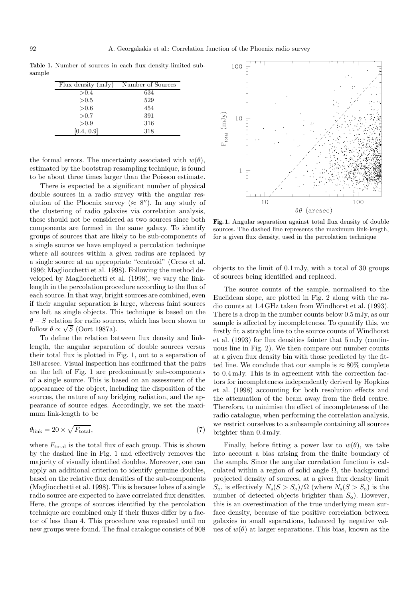**Table 1.** Number of sources in each flux density-limited subsample

| Flux density $(mJy)$ | Number of Sources |
|----------------------|-------------------|
| > 0.4                | 634               |
| > 0.5                | 529               |
| > 0.6                | 454               |
| > 0.7                | 391               |
| > 0.9                | 316               |
| [0.4, 0.9]           | 318               |

the formal errors. The uncertainty associated with  $w(\theta)$ , estimated by the bootstrap resampling technique, is found to be about three times larger than the Poisson estimate.

There is expected be a significant number of physical double sources in a radio survey with the angular resolution of the Phoenix survey ( $\approx 8$ "). In any study of the clustering of radio galaxies via correlation analysis, these should not be considered as two sources since both components are formed in the same galaxy. To identify groups of sources that are likely to be sub-components of a single source we have employed a percolation technique where all sources within a given radius are replaced by a single source at an appropriate "centroid" (Cress et al. 1996; Magliocchetti et al. 1998). Following the method developed by Magliocchetti et al. (1998), we vary the linklength in the percolation procedure according to the flux of each source. In that way, bright sources are combined, even if their angular separation is large, whereas faint sources are left as single objects. This technique is based on the  $\theta - S$  relation for radio sources, which has been shown to follow  $\theta \propto \sqrt{S}$  (Oort 1987a).

To define the relation between flux density and linklength, the angular separation of double sources versus their total flux is plotted in Fig. 1, out to a separation of 180 arcsec. Visual inspection has confirmed that the pairs on the left of Fig. 1 are predominantly sub-components of a single source. This is based on an assessment of the appearance of the object, including the disposition of the sources, the nature of any bridging radiation, and the appearance of source edges. Accordingly, we set the maximum link-length to be

$$
\theta_{\text{link}} = 20 \times \sqrt{F_{\text{total}}},\tag{7}
$$

where  $F_{total}$  is the total flux of each group. This is shown by the dashed line in Fig. 1 and effectively removes the majority of visually identified doubles. Moreover, one can apply an additional criterion to identify genuine doubles, based on the relative flux densities of the sub-components (Magliocchetti et al. 1998). This is because lobes of a single radio source are expected to have correlated flux densities. Here, the groups of sources identified by the percolation technique are combined only if their fluxes differ by a factor of less than 4. This procedure was repeated until no new groups were found. The final catalogue consists of 908



**Fig. 1.** Angular separation against total flux density of double sources. The dashed line represents the maximum link-length, for a given flux density, used in the percolation technique

objects to the limit of 0.1 mJy, with a total of 30 groups of sources being identified and replaced.

The source counts of the sample, normalised to the Euclidean slope, are plotted in Fig. 2 along with the radio counts at 1.4 GHz taken from Windhorst et al. (1993). There is a drop in the number counts below 0.5 mJy, as our sample is affected by incompleteness. To quantify this, we firstly fit a straight line to the source counts of Windhorst et al. (1993) for flux densities fainter that 5 mJy (continuous line in Fig. 2). We then compare our number counts at a given flux density bin with those predicted by the fitted line. We conclude that our sample is  $\approx 80\%$  complete to 0.4 mJy. This is in agreement with the correction factors for incompleteness independently derived by Hopkins et al. (1998) accounting for both resolution effects and the attenuation of the beam away from the field centre. Therefore, to minimise the effect of incompleteness of the radio catalogue, when performing the correlation analysis, we restrict ourselves to a subsample containing all sources brighter than 0.4 mJy.

Finally, before fitting a power law to  $w(\theta)$ , we take into account a bias arising from the finite boundary of the sample. Since the angular correlation function is calculated within a region of solid angle  $\Omega$ , the background projected density of sources, at a given flux density limit  $S_o$ , is effectively  $N_s(S>S_o)/\Omega$  (where  $N_s(S>S_o)$ ) is the number of detected objects brighter than  $S_0$ ). However, this is an overestimation of the true underlying mean surface density, because of the positive correlation between galaxies in small separations, balanced by negative values of  $w(\theta)$  at larger separations. This bias, known as the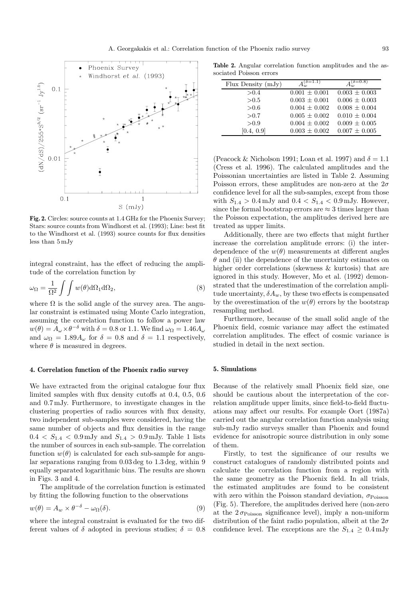

Fig. 2. Circles: source counts at  $1.4$  GHz for the Phoenix Survey; Stars: source counts from Windhorst et al. (1993); Line: best fit to the Windhorst et al. (1993) source counts for flux densities less than 5 mJy

integral constraint, has the effect of reducing the amplitude of the correlation function by

$$
\omega_{\Omega} = \frac{1}{\Omega^2} \int \int w(\theta) d\Omega_1 d\Omega_2, \tag{8}
$$

where  $\Omega$  is the solid angle of the survey area. The angular constraint is estimated using Monte Carlo integration, assuming the correlation function to follow a power law  $w(\theta) = A_{\omega} \times \theta^{-\delta}$  with  $\delta = 0.8$  or 1.1. We find  $\omega_{\Omega} = 1.46 A_{\omega}$ and  $\omega_{\Omega} = 1.89 A_{\omega}$  for  $\delta = 0.8$  and  $\delta = 1.1$  respectively, where  $\theta$  is measured in degrees.

#### **4. Correlation function of the Phoenix radio survey**

We have extracted from the original catalogue four flux limited samples with flux density cutoffs at 0.4, 0.5, 0.6 and 0.7 mJy. Furthermore, to investigate changes in the clustering properties of radio sources with flux density, two independent sub-samples were considered, having the same number of objects and flux densities in the range  $0.4 < S_{1.4} < 0.9 \,\mathrm{mJy}$  and  $S_{1.4} > 0.9 \,\mathrm{mJy}$ . Table 1 lists the number of sources in each sub-sample. The correlation function  $w(\theta)$  is calculated for each sub-sample for angular separations ranging from 0.03 deg to 1.3 deg, within 9 equally separated logarithmic bins. The results are shown in Figs. 3 and 4.

The amplitude of the correlation function is estimated by fitting the following function to the observations

$$
w(\theta) = A_w \times \theta^{-\delta} - \omega_{\Omega}(\delta). \tag{9}
$$

where the integral constraint is evaluated for the two different values of  $\delta$  adopted in previous studies;  $\delta = 0.8$ 

**Table 2.** Angular correlation function amplitudes and the associated Poisson errors

| Flux Density $(mJy)$ | $A^{(\delta=1.1)}$ | $A^{(\delta=0.8)}$ |
|----------------------|--------------------|--------------------|
| > 0.4                | $0.001 \pm 0.001$  | $0.003 \pm 0.003$  |
| > 0.5                | $0.003 \pm 0.001$  | $0.006 \pm 0.003$  |
| > 0.6                | $0.004 \pm 0.002$  | $0.008 \pm 0.004$  |
| > 0.7                | $0.005 \pm 0.002$  | $0.010 \pm 0.004$  |
| > 0.9                | $0.004 \pm 0.002$  | $0.009 \pm 0.005$  |
| [0.4, 0.9]           | $0.003 \pm 0.002$  | $0.007 \pm 0.005$  |

(Peacock & Nicholson 1991; Loan et al. 1997) and  $\delta = 1.1$ (Cress et al. 1996). The calculated amplitudes and the Poissonian uncertainties are listed in Table 2. Assuming Poisson errors, these amplitudes are non-zero at the  $2\sigma$ confidence level for all the sub-samples, except from those with  $S_{1.4} > 0.4 \,\mathrm{mJy}$  and  $0.4 < S_{1.4} < 0.9 \,\mathrm{mJy}$ . However, since the formal bootstrap errors are  $\approx 3$  times larger than the Poisson expectation, the amplitudes derived here are treated as upper limits.

Additionally, there are two effects that might further increase the correlation amplitude errors: (i) the interdependence of the  $w(\theta)$  measurements at different angles  $\theta$  and (ii) the dependence of the uncertainty estimates on higher order correlations (skewness & kurtosis) that are ignored in this study. However, Mo et al. (1992) demonstrated that the underestimation of the correlation amplitude uncertainty,  $\delta A_w$ , by these two effects is compensated by the overestimation of the  $w(\theta)$  errors by the bootstrap resampling method.

Furthermore, because of the small solid angle of the Phoenix field, cosmic variance may affect the estimated correlation amplitudes. The effect of cosmic variance is studied in detail in the next section.

## **5. Simulations**

Because of the relatively small Phoenix field size, one should be cautious about the interpretation of the correlation amplitude upper limits, since field-to-field fluctuations may affect our results. For example Oort (1987a) carried out the angular correlation function analysis using sub-mJy radio surveys smaller than Phoenix and found evidence for anisotropic source distribution in only some of them.

Firstly, to test the significance of our results we construct catalogues of randomly distributed points and calculate the correlation function from a region with the same geometry as the Phoenix field. In all trials, the estimated amplitudes are found to be consistent with zero within the Poisson standard deviation,  $\sigma_{\text{Poisson}}$ (Fig. 5). Therefore, the amplitudes derived here (non-zero at the  $2\sigma_{\text{Poisson}}$  significance level), imply a non-uniform distribution of the faint radio population, albeit at the  $2\sigma$ confidence level. The exceptions are the  $S_{1.4} \geq 0.4$  mJy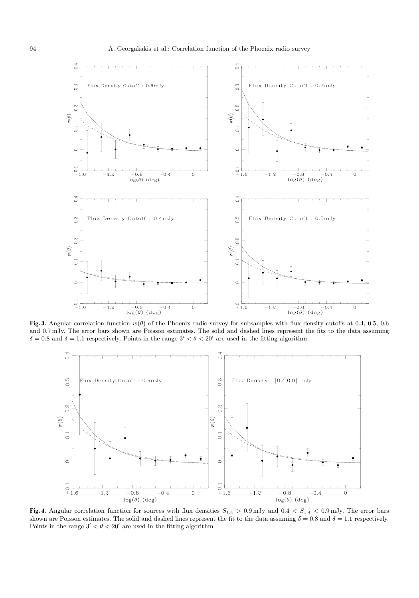

**Fig. 3.** Angular correlation function  $w(\theta)$  of the Phoenix radio survey for subsamples with flux density cutoffs at 0.4, 0.5, 0.6 and 0.7 mJy. The error bars shown are Poisson estimates. The solid and dashed lines represent the fits to the data assuming  $\delta = 0.8$  and  $\delta = 1.1$  respectively. Points in the range  $3' < \theta < 20'$  are used in the fitting algorithm



Fig. 4. Angular correlation function for sources with flux densities  $S_{1.4} > 0.9$  mJy and  $0.4 < S_{1.4} < 0.9$  mJy. The error bars shown are Poisson estimates. The solid and dashed lines represent the fit to the data assuming  $\delta = 0.8$  and  $\delta = 1.1$  respectively. Points in the range  $3' < \theta < 20'$  are used in the fitting algorithm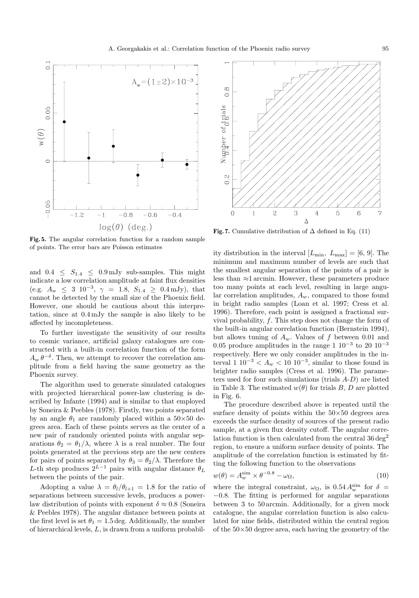

**Fig. 5.** The angular correlation function for a random sample of points. The error bars are Poisson estimates

and  $0.4 \leq S_{1.4} \leq 0.9 \,\mathrm{mJy}$  sub-samples. This might indicate a low correlation amplitude at faint flux densities (e.g.  $A_w \leq 3 \ 10^{-3}, \ \gamma = 1.8, \ S_{1.4} \geq 0.4 \text{ mJy}$ ), that cannot be detected by the small size of the Phoenix field. However, one should be cautious about this interpretation, since at 0.4 mJy the sample is also likely to be affected by incompleteness.

To further investigate the sensitivity of our results to cosmic variance, artificial galaxy catalogues are constructed with a built-in correlation function of the form  $A_w \theta^{-\delta}$ . Then, we attempt to recover the correlation amplitude from a field having the same geometry as the Phoenix survey.

The algorithm used to generate simulated catalogues with projected hierarchical power-law clustering is described by Infante (1994) and is similar to that employed by Soneira & Peebles (1978). Firstly, two points separated by an angle  $\theta_1$  are randomly placed within a 50×50 degrees area. Each of these points serves as the center of a new pair of randomly oriented points with angular separations  $\theta_2 = \theta_1/\lambda$ , where  $\lambda$  is a real number. The four points generated at the previous step are the new centers for pairs of points separated by  $\theta_3 = \theta_2/\lambda$ . Therefore the L-th step produces  $2^{L-1}$  pairs with angular distance  $\theta_L$ between the points of the pair.

Adopting a value  $\lambda = \theta_l/\theta_{l+1} = 1.8$  for the ratio of separations between successive levels, produces a powerlaw distribution of points with exponent  $\delta \approx 0.8$  (Soneira & Peebles 1978). The angular distance between points at the first level is set  $\theta_1 = 1.5$  deg. Additionally, the number of hierarchical levels, L, is drawn from a uniform probabil-



**Fig. 7.** Cumulative distribution of  $\Delta$  defined in Eq. (11)

ity distribution in the interval  $[L_{\min}, L_{\max}] = [6, 9]$ . The minimum and maximum number of levels are such that the smallest angular separation of the points of a pair is less than ≈1 arcmin. However, these parameters produce too many points at each level, resulting in large angular correlation amplitudes,  $A_w$ , compared to those found in bright radio samples (Loan et al. 1997; Cress et al. 1996). Therefore, each point is assigned a fractional survival probability,  $f$ . This step does not change the form of the built-in angular correlation function (Bernstein 1994), but allows tuning of  $A_w$ . Values of f between 0.01 and 0.05 produce amplitudes in the range 1  $10^{-3}$  to 20  $10^{-3}$ respectively. Here we only consider amplitudes in the interval 1  $10^{-3} < A_w < 10^{-3}$ , similar to those found in brighter radio samples (Cress et al. 1996). The parameters used for four such simulations (trials  $A-D$ ) are listed in Table 3. The estimated  $w(\theta)$  for trials B, D are plotted in Fig. 6.

The procedure described above is repeated until the surface density of points within the  $50\times50$  degrees area exceeds the surface density of sources of the present radio sample, at a given flux density cutoff. The angular correlation function is then calculated from the central  $36 \text{ deg}^2$ region, to ensure a uniform surface density of points. The amplitude of the correlation function is estimated by fitting the following function to the observations

$$
w(\theta) = A_w^{\text{sim}} \times \theta^{-0.8} - \omega_{\Omega}, \tag{10}
$$

where the integral constraint,  $\omega_{\Omega}$ , is 0.54  $A_w^{\text{sim}}$  for  $\delta =$ −0.8. The fitting is performed for angular separations between 3 to 50 arcmin. Additionally, for a given mock catalogue, the angular correlation function is also calculated for nine fields, distributed within the central region of the  $50\times50$  degree area, each having the geometry of the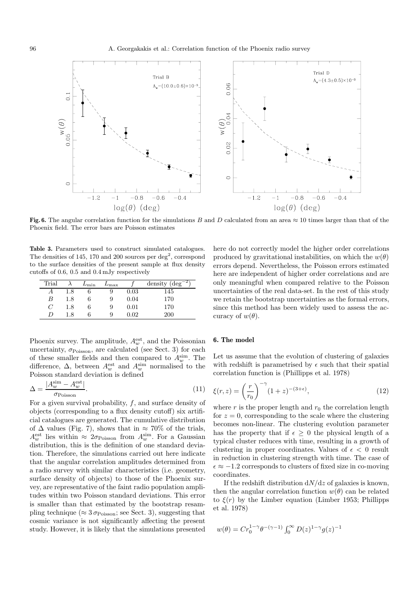

**Fig. 6.** The angular correlation function for the simulations B and D calculated from an area  $\approx$  10 times larger than that of the Phoenix field. The error bars are Poisson estimates

**Table 3.** Parameters used to construct simulated catalogues. The densities of 145, 170 and 200 sources per deg<sup>2</sup>, correspond to the surface densities of the present sample at flux density cutoffs of 0.6, 0.5 and 0.4 mJy respectively

| Trial |     | $L_{\rm min}$ | $L_{\rm max}$ |      | density $(\text{deg}^{-2})$ |
|-------|-----|---------------|---------------|------|-----------------------------|
|       | 1.8 |               | 9             | 0.03 | 145                         |
| B     | 1.8 |               | 9             | 0.04 | 170                         |
| C     | 1.8 |               | 9             | 0.01 | 170                         |
|       | 1.8 |               | 9             | 0.02 | <b>200</b>                  |

Phoenix survey. The amplitude,  $A_w^{\text{est}}$ , and the Poissonian uncertainty,  $\sigma_{\rm Poisson},$  are calculated (see Sect. 3) for each of these smaller fields and then compared to  $A_w^{\text{sim}}$ . The difference,  $\Delta$ , between  $A_w^{\text{est}}$  and  $A_w^{\text{sim}}$  normalised to the Poisson standard deviation is defined

$$
\Delta = \frac{|A_w^{\text{sim}} - A_w^{\text{est}}|}{\sigma_{\text{Poisson}}}.\tag{11}
$$

For a given survival probability,  $f$ , and surface density of objects (corresponding to a flux density cutoff) six artificial catalogues are generated. The cumulative distribution of  $\Delta$  values (Fig. 7), shows that in  $\approx 70\%$  of the trials,  $A_w^{\text{est}}$  lies within  $\approx 2\sigma_{\text{Poisson}}$  from  $A_w^{\text{sim}}$ . For a Gaussian distribution, this is the definition of one standard deviation. Therefore, the simulations carried out here indicate that the angular correlation amplitudes determined from a radio survey with similar characteristics (i.e. geometry, surface density of objects) to those of the Phoenix survey, are representative of the faint radio population amplitudes within two Poisson standard deviations. This error is smaller than that estimated by the bootstrap resampling technique ( $\approx 3 \sigma_{\text{Poisson}}$ ; see Sect. 3), suggesting that cosmic variance is not significantly affecting the present study. However, it is likely that the simulations presented

here do not correctly model the higher order correlations produced by gravitational instabilities, on which the  $w(\theta)$ errors depend. Nevertheless, the Poisson errors estimated here are independent of higher order correlations and are only meaningful when compared relative to the Poisson uncertainties of the real data-set. In the rest of this study we retain the bootstrap uncertainties as the formal errors, since this method has been widely used to assess the accuracy of  $w(\theta)$ .

## **6. The model**

Let us assume that the evolution of clustering of galaxies with redshift is parametrised by  $\epsilon$  such that their spatial correlation function is (Phillipps et al. 1978)

$$
\xi(r,z) = \left(\frac{r}{r_0}\right)^{-\gamma} (1+z)^{-(3+\epsilon)},
$$
\n(12)

where r is the proper length and  $r_0$  the correlation length for  $z = 0$ , corresponding to the scale where the clustering becomes non-linear. The clustering evolution parameter has the property that if  $\epsilon > 0$  the physical length of a typical cluster reduces with time, resulting in a growth of clustering in proper coordinates. Values of  $\epsilon$  < 0 result in reduction in clustering strength with time. The case of  $\epsilon \approx -1.2$  corresponds to clusters of fixed size in co-moving coordinates.

If the redshift distribution  $dN/dz$  of galaxies is known, then the angular correlation function  $w(\theta)$  can be related to  $\xi(r)$  by the Limber equation (Limber 1953; Phillipps et al. 1978)

$$
w(\theta) = Cr_0^{1-\gamma} \theta^{-(\gamma-1)} \int_0^\infty D(z)^{1-\gamma} g(z)^{-1}
$$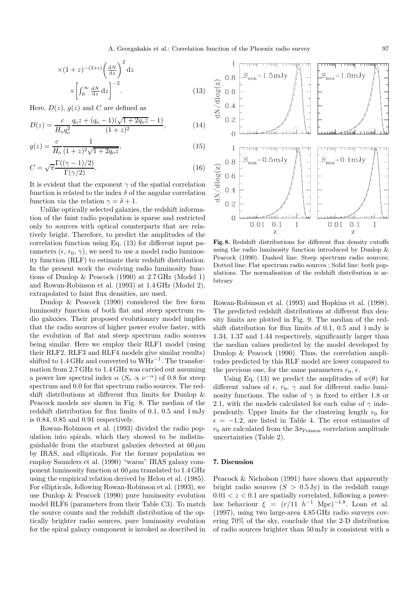$$
\times (1+z)^{-(3+\epsilon)} \left(\frac{dN}{dz}\right)^2 dz
$$

$$
\times \left[\int_0^\infty \frac{dN}{dz} dz\right]^{-2}.
$$
 (13)

Here,  $D(z)$ ,  $q(z)$  and C are defined as

$$
D(z) = \frac{c}{H_0 q_0^2} \frac{q_0 z + (q_0 - 1)(\sqrt{1 + 2q_0 z} - 1)}{(1 + z)^2},
$$
(14)

$$
g(z) = \frac{c}{H_0} \frac{1}{(1+z)^2 \sqrt{1+2q_0 z}},\tag{15}
$$

$$
C = \sqrt{\pi} \frac{\Gamma((\gamma - 1)/2)}{\Gamma(\gamma/2)}.
$$
\n(16)

It is evident that the exponent  $\gamma$  of the spatial correlation function is related to the index  $\delta$  of the angular correlation function via the relation  $\gamma = \delta + 1$ .

Unlike optically selected galaxies, the redshift information of the faint radio population is sparse and restricted only to sources with optical counterparts that are relatively bright. Therefore, to predict the amplitudes of the correlation function using Eq. (13) for different input parameters  $(\epsilon, r_0, \gamma)$ , we need to use a model radio luminosity function (RLF) to estimate their redshift distribution. In the present work the evolving radio luminosity functions of Dunlop & Peacock (1990) at 2.7 GHz (Model 1) and Rowan-Robinson et al. (1993) at 1.4 GHz (Model 2), extrapolated to faint flux densities, are used.

Dunlop & Peacock (1990) considered the free form luminosity function of both flat and steep spectrum radio galaxies. Their proposed evolutionary model implies that the radio sources of higher power evolve faster, with the evolution of flat and steep spectrum radio sources being similar. Here we employ their RLF1 model (using their RLF2, RLF3 and RLF4 models give similar results) shifted to  $1.4$  GHz and converted to WHz<sup>-1</sup>. The transformation from 2.7 GHz to 1.4 GHz was carried out assuming a power law spectral index  $\alpha$  ( $S_{\nu} \propto \nu^{-\alpha}$ ) of 0.8 for steep spectrum and 0.0 for flat spectrum radio sources. The redshift distributions at different flux limits for Dunlop & Peacock models are shown in Fig. 8. The median of the redshift distribution for flux limits of 0.1, 0.5 and 1 mJy is 0.84, 0.85 and 0.91 respectively.

Rowan-Robinson et al. (1993) divided the radio population into spirals, which they showed to be indistinguishable from the starburst galaxies detected at  $60 \mu m$ by IRAS, and ellipticals. For the former population we employ Saunders et al. (1990) "warm" IRAS galaxy component luminosity function at  $60 \mu m$  translated to  $1.4 \text{ GHz}$ using the empirical relation derived by Helou et al. (1985). For ellipticals, following Rowan-Robinson et al. (1993), we use Dunlop & Peacock (1990) pure luminosity evolution model RLF6 (parameters from their Table C3). To match the source counts and the redshift distribution of the optically brighter radio sources, pure luminosity evolution for the spiral galaxy component is invoked as described in



**Fig. 8.** Redshift distributions for different flux density cutoffs using the radio luminosity function introduced by Dunlop & Peacock (1990). Dashed line: Steep spectrum radio sources; Dotted line: Flat spectrum radio sources ; Solid line: both populations. The normalisation of the redshift distribution is arbitrary

Rowan-Robinson et al. (1993) and Hopkins et al. (1998). The predicted redshift distributions at different flux density limits are plotted in Fig. 9. The median of the redshift distribution for flux limits of 0.1, 0.5 and 1 mJy is 1.34, 1.37 and 1.44 respectively, significantly larger than the median values predicted by the model developed by Dunlop & Peacock (1990). Thus, the correlation amplitudes predicted by this RLF model are lower compared to the previous one, for the same parameters  $r_0$ ,  $\epsilon$ .

Using Eq. (13) we predict the amplitudes of  $w(\theta)$  for different values of  $\epsilon$ ,  $r_0$ ,  $\gamma$  and for different radio luminosity functions. The value of  $\gamma$  is fixed to either 1.8 or 2.1, with the models calculated for each value of  $\gamma$  independently. Upper limits for the clustering length  $r_0$  for  $\epsilon = -1.2$ , are listed in Table 4. The error estimates of  $r_0$  are calculated from the  $3\sigma_{\rm Poisson}$  correlation amplitude uncertainties (Table 2).

### **7. Discussion**

Peacock & Nicholson (1991) have shown that apparently bright radio sources  $(S > 0.5 \text{ Jy})$  in the redshift range  $0.01 < z < 0.1$  are spatially correlated, following a powerlaw behaviour  $\xi = (r/11 \ h^{-1} \text{ Mpc})^{-1.8}$ . Loan et al. (1997), using two large-area 4.85 GHz radio surveys covering 70% of the sky, conclude that the 2-D distribution of radio sources brighter than 50 mJy is consistent with a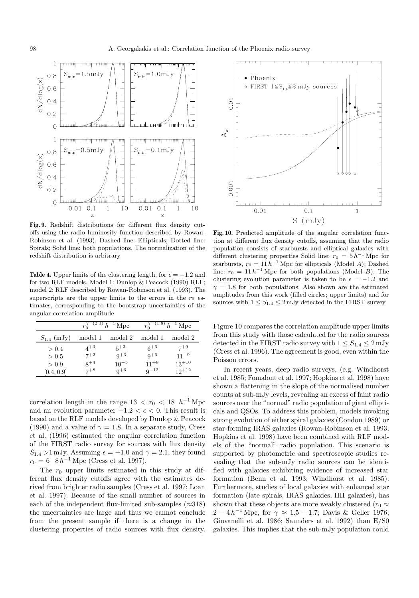

**Fig. 9.** Redshift distributions for different flux density cutoffs using the radio luminosity function described by Rowan-Robinson et al. (1993). Dashed line: Ellipticals; Dotted line: Spirals; Solid line: both populations. The normalization of the redshift distribution is arbitrary

**Table 4.** Upper limits of the clustering length, for  $\epsilon = -1.2$  and for two RLF models. Model 1: Dunlop & Peacock (1990) RLF; model 2: RLF described by Rowan-Robinson et al. (1993). The superscripts are the upper limits to the errors in the  $r_0$  estimates, corresponding to the bootstrap uncertainties of the angular correlation amplitude

|                 | $r_0^{\gamma=(2.1)} h^{-1}$ Mpc |           | $r_0^{\gamma=(1.8)} h^{-1}$ Mpc |            |  |
|-----------------|---------------------------------|-----------|---------------------------------|------------|--|
| $S_{1.4}$ (mJy) | model 1                         | model 2   | model 1                         | model 2    |  |
| > 0.4           | $4^{+3}$                        | $5+3$     | $6^{+6}$                        | $7^{+9}$   |  |
| > 0.5           | $7^{+2}$                        | $q+3$     | $9^{+6}$                        | $11+9$     |  |
| > 0.9           | $8^{+4}$                        | $10^{+5}$ | $11+8$                          | $13^{+10}$ |  |
| [0.4, 0.9]      | $7^{+8}$                        | $q+6$     | $9+12$                          | $12^{+12}$ |  |

correlation length in the range  $13 < r_0 < 18$  h<sup>-1</sup> Mpc and an evolution parameter  $-1.2 < \epsilon < 0$ . This result is based on the RLF models developed by Dunlop & Peacock (1990) and a value of  $\gamma = 1.8$ . In a separate study, Cress et al. (1996) estimated the angular correlation function of the FIRST radio survey for sources with flux density  $S_{1.4} > 1$  mJy. Assuming  $\epsilon = -1.0$  and  $\gamma = 2.1$ , they found  $r_0 = 6-8 h^{-1}$  Mpc (Cress et al. 1997).

The  $r_0$  upper limits estimated in this study at different flux density cutoffs agree with the estimates derived from brighter radio samples (Cress et al. 1997; Loan et al. 1997). Because of the small number of sources in each of the independent flux-limited sub-samples  $(\approx 318)$ the uncertainties are large and thus we cannot conclude from the present sample if there is a change in the clustering properties of radio sources with flux density.



**Fig. 10.** Predicted amplitude of the angular correlation function at different flux density cutoffs, assuming that the radio population consists of starbursts and elliptical galaxies with different clustering properties Solid line:  $r_0 = 5 h^{-1}$  Mpc for starbursts,  $r_0 = 11 h^{-1}$  Mpc for ellipticals (Model A); Dashed line:  $r_0 = 11 h^{-1}$  Mpc for both populations (Model B). The clustering evolution parameter is taken to be  $\epsilon = -1.2$  and  $\gamma = 1.8$  for both populations. Also shown are the estimated amplitudes from this work (filled circles; upper limits) and for sources with  $1 \leq S_{1.4} \leq 2$  mJy detected in the FIRST survey

Figure 10 compares the correlation amplitude upper limits from this study with those calculated for the radio sources detected in the FIRST radio survey with  $1 \leq S_{1,4} \leq 2$  mJy (Cress et al. 1996). The agreement is good, even within the Poisson errors.

In recent years, deep radio surveys, (e.g. Windhorst et al. 1985; Fomalont et al. 1997; Hopkins et al. 1998) have shown a flattening in the slope of the normalised number counts at sub-mJy levels, revealing an excess of faint radio sources over the "normal" radio population of giant ellipticals and QSOs. To address this problem, models invoking strong evolution of either spiral galaxies (Condon 1989) or star-forming IRAS galaxies (Rowan-Robinson et al. 1993; Hopkins et al. 1998) have been combined with RLF models of the "normal" radio population. This scenario is supported by photometric and spectroscopic studies revealing that the sub-mJy radio sources can be identified with galaxies exhibiting evidence of increased star formation (Benn et al. 1993; Windhorst et al. 1985). Furthermore, studies of local galaxies with enhanced star formation (late spirals, IRAS galaxies, HII galaxies), has shown that these objects are more weakly clustered ( $r_0 \approx$  $2 - 4 h^{-1}$  Mpc, for  $\gamma \approx 1.5 - 1.7$ ; Davis & Geller 1976; Giovanelli et al. 1986; Saunders et al. 1992) than E/S0 galaxies. This implies that the sub-mJy population could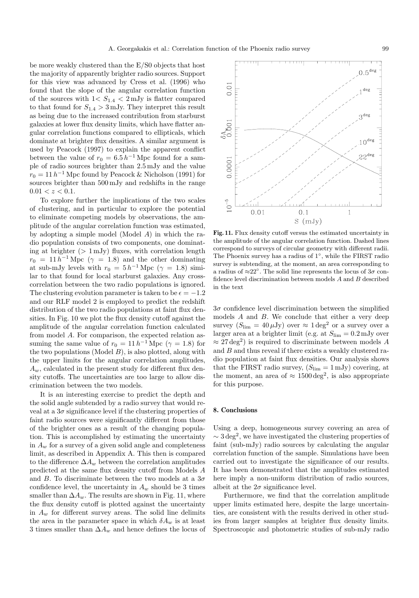be more weakly clustered than the E/S0 objects that host the majority of apparently brighter radio sources. Support for this view was advanced by Cress et al. (1996) who found that the slope of the angular correlation function of the sources with  $1 < S_{1.4} < 2 \,\mathrm{mJy}$  is flatter compared to that found for  $S_{1.4} > 3$  mJy. They interpret this result as being due to the increased contribution from starburst galaxies at lower flux density limits, which have flatter angular correlation functions compared to ellipticals, which dominate at brighter flux densities. A similar argument is used by Peacock (1997) to explain the apparent conflict between the value of  $r_0 = 6.5 h^{-1}$  Mpc found for a sample of radio sources brighter than 2.5 mJy and the value  $r_0 = 11 h^{-1}$  Mpc found by Peacock & Nicholson (1991) for sources brighter than 500 mJy and redshifts in the range  $0.01 < z < 0.1$ .

To explore further the implications of the two scales of clustering, and in particular to explore the potential to eliminate competing models by observations, the amplitude of the angular correlation function was estimated, by adopting a simple model (Model A) in which the radio population consists of two components, one dominating at brighter  $(1 \text{ mJy})$  fluxes, with correlation length  $r_0 = 11 h^{-1}$  Mpc ( $\gamma = 1.8$ ) and the other dominating at sub-mJy levels with  $r_0 = 5 h^{-1}$  Mpc ( $\gamma = 1.8$ ) similar to that found for local starburst galaxies. Any crosscorrelation between the two radio populations is ignored. The clustering evolution parameter is taken to be  $\epsilon = -1.2$ and our RLF model 2 is employed to predict the redshift distribution of the two radio populations at faint flux densities. In Fig. 10 we plot the flux density cutoff against the amplitude of the angular correlation function calculated from model A. For comparison, the expected relation assuming the same value of  $r_0 = 11 h^{-1}$  Mpc ( $\gamma = 1.8$ ) for the two populations (Model  $B$ ), is also plotted, along with the upper limits for the angular correlation amplitudes,  $A_w$ , calculated in the present study for different flux density cutoffs. The uncertainties are too large to allow discrimination between the two models.

It is an interesting exercise to predict the depth and the solid angle subtended by a radio survey that would reveal at a  $3\sigma$  significance level if the clustering properties of faint radio sources were significantly different from those of the brighter ones as a result of the changing population. This is accomplished by estimating the uncertainty in  $A_w$  for a survey of a given solid angle and completeness limit, as described in Appendix A. This then is compared to the difference  $\Delta A_w$  between the correlation amplitudes predicted at the same flux density cutoff from Models A and B. To discriminate between the two models at a  $3\sigma$ confidence level, the uncertainty in  $A_w$  should be 3 times smaller than  $\Delta A_w$ . The results are shown in Fig. 11, where the flux density cutoff is plotted against the uncertainty in  $A_w$  for different survey areas. The solid line delimits the area in the parameter space in which  $\delta A_w$  is at least 3 times smaller than  $\Delta A_w$  and hence defines the locus of



**Fig. 11.** Flux density cutoff versus the estimated uncertainty in the amplitude of the angular correlation function. Dashed lines correspond to surveys of circular geometry with different radii. The Phoenix survey has a radius of 1◦, while the FIRST radio survey is subtending, at the moment, an area corresponding to a radius of  $\approx 22^{\circ}$ . The solid line represents the locus of  $3\sigma$  confidence level discrimination between models A and B described in the text

 $3\sigma$  confidence level discrimination between the simplified models A and B. We conclude that either a very deep survey  $(S_{\text{lim}} = 40 \,\mu\text{Jy})$  over  $\approx 1 \text{ deg}^2$  or a survey over a larger area at a brighter limit (e.g. at  $S_{\text{lim}} = 0.2 \text{ mJy over}$  $\approx$  27 deg<sup>2</sup>) is required to discriminate between models A and B and thus reveal if there exists a weakly clustered radio population at faint flux densities. Our analysis shows that the FIRST radio survey,  $(S_{\text{lim}} = 1 \text{ mJy})$  covering, at the moment, an area of  $\approx 1500 \text{ deg}^2$ , is also appropriate for this purpose.

#### **8. Conclusions**

Using a deep, homogeneous survey covering an area of  $\sim$  3 deg<sup>2</sup>, we have investigated the clustering properties of faint (sub-mJy) radio sources by calculating the angular correlation function of the sample. Simulations have been carried out to investigate the significance of our results. It has been demonstrated that the amplitudes estimated here imply a non-uniform distribution of radio sources, albeit at the  $2\sigma$  significance level.

Furthermore, we find that the correlation amplitude upper limits estimated here, despite the large uncertainties, are consistent with the results derived in other studies from larger samples at brighter flux density limits. Spectroscopic and photometric studies of sub-mJy radio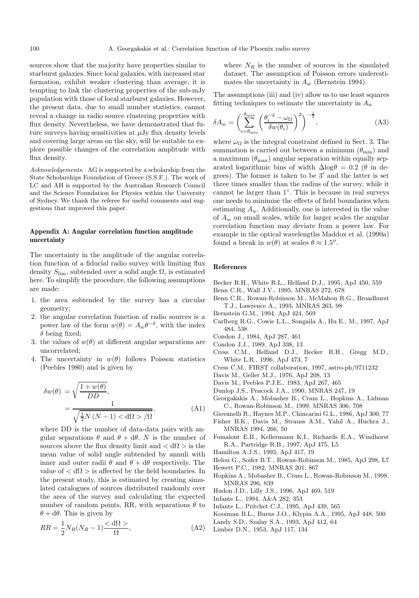sources show that the majority have properties similar to starburst galaxies. Since local galaxies, with increased star formation, exhibit weaker clustering than average, it is tempting to link the clustering properties of the sub-mJy population with those of local starburst galaxies. However, the present data, due to small number statistics, cannot reveal a change in radio source clustering properties with flux density. Nevertheless, we have demonstrated that future surveys having sensitivities at  $\mu$ Jy flux density levels and covering large areas on the sky, will be suitable to explore possible changes of the correlation amplitude with flux density.

Acknowledgements. AG is supported by a scholarship from the State Scholarships Foundation of Greece (S.S.F.). The work of LC and AH is supported by the Australian Research Council and the Science Foundation for Physics within the University of Sydney. We thank the referee for useful comments and suggestions that improved this paper.

## **Appendix A: Angular correlation function amplitude uncertainty**

The uncertainty in the amplitude of the angular correlation function of a fiducial radio survey with limiting flux density  $S_{\text{lim}}$ , subtended over a solid angle  $\Omega$ , is estimated here. To simplify the procedure, the following assumptions are made:

- 1. the area subtended by the survey has a circular geometry;
- 2. the angular correlation function of radio sources is a power law of the form  $w(\theta) = A_w \theta^{-\delta}$ , with the index  $\delta$  being fixed;
- 3. the values of  $w(\theta)$  at different angular separations are uncorrelated;
- 4. The uncertainty in  $w(\theta)$  follows Poisson statistics (Peebles 1980) and is given by

$$
\delta w(\theta) = \sqrt{\frac{1 + w(\theta)}{DD}},
$$
  
= 
$$
\frac{1}{\sqrt{\frac{1}{2}N(N-1) \langle \mathrm{d}\Omega \rangle / \Omega}},
$$
(A1)

where DD is the number of data-data pairs with angular separations  $\theta$  and  $\theta + d\theta$ , N is the number of sources above the flux density limit and  $\langle d\Omega \rangle$  is the mean value of solid angle subtended by annuli with inner and outer radii  $\theta$  and  $\theta + d\theta$  respectively. The value of  $\langle d\Omega \rangle$  is affected by the field boundaries. In the present study, this is estimated by creating simulated catalogues of sources distributed randomly over the area of the survey and calculating the expected number of random points, RR, with separations  $\theta$  to  $\theta + d\theta$ . This is given by

$$
RR = \frac{1}{2}N_R(N_R - 1)\frac{\langle \mathrm{d}\Omega \rangle}{\Omega},\tag{A2}
$$

where  $N_R$  is the number of sources in the simulated dataset. The assumption of Poisson errors underestimates the uncertainty in  $A_w$  (Bernstein 1994).

The assumptions (iii) and (iv) allow us to use least squares fitting techniques to estimate the uncertainty in  $A_w$ 

$$
\delta A_w = \left(\sum_{i=\theta_{\min}}^{\theta_{\max}} \left(\frac{\theta_i^{-\delta} - \omega_{\Omega}}{\delta w(\theta_i)}\right)^2\right)^{-\frac{1}{2}},\tag{A3}
$$

where  $\omega_{\Omega}$  is the integral constraint defined in Sect. 3. The summation is carried out between a minimum  $(\theta_{\min})$  and a maximum  $(\theta_{\text{max}})$  angular separation within equally separated logarithmic bins of width  $\Delta$ log $\theta = 0.2$  ( $\theta$  in degrees). The former is taken to be  $3'$  and the latter is set three times smaller than the radius of the survey, while it cannot be larger than 1◦. This is because in real surveys one needs to minimise the effects of field boundaries when estimating  $A_w$ . Additionally, one is interested in the value of  $A_w$  on small scales, while for larger scales the angular correlation function may deviate from a power law. For example in the optical wavelengths Maddox et al. (1990a) found a break in  $w(\theta)$  at scales  $\theta \approx 1.5$ ".

## **References**

- Becker R.H., White R.L., Helfand D.J., 1995, ApJ 450, 559
- Benn C.R., Wall J.V., 1995, MNRAS 272, 678
- Benn C.R., Rowan-Robinson M., McMahon R.G., Broadhurst T.J., Lawrence A., 1993, MNRAS 263, 98
- Bernstein G.M., 1994, ApJ 424, 569
- Carlberg R.G., Cowie L.L., Songaila A., Hu E., M., 1997, ApJ 484, 538
- Condon J., 1984, ApJ 287, 461
- Condon J.J., 1989, ApJ 338, 13
- Cress C.M., Helfand D.J., Becker R.H., Gregg M.D., White L.R., 1996, ApJ 473, 7
- Cress C.M., FIRST collaboration, 1997, astro-ph/9711232
- Davis M., Geller M.J., 1976, ApJ 208, 13
- Davis M., Peebles P.J.E., 1983, ApJ 267, 465
- Dunlop J.S., Peacock J.A., 1990, MNRAS 247, 19
- Georgakakis A., Mobasher B., Cram L., Hopkins A., Lidman C., Rowan-Robinson M., 1999, MNRAS 306, 708
- Giovanelli R., Haynes M.P., Chincarini G.L., 1986, ApJ 300, 77
- Fisher B.K., Davis M., Strauss A.M., Yahil A., Huchra J., MNRAS 1994, 266, 50
- Fomalont E.B., Kellermann K.I., Richards E.A., Windhorst R.A., Partridge R.B., 1997, ApJ 475, L5
- Hamilton A.J.S., 1993, ApJ 417, 19

Helou G., Soifer B.T., Rowan-Robinson M., 1985, ApJ 298, L7

- Hewett P.C., 1982, MNRAS 201, 867
- Hopkins A., Mobasher B., Cram L., Rowan-Robinson M., 1998, MNRAS 296, 839
- Hudon J.D., Lilly J.S., 1996, ApJ 469, 519
- Infante L., 1994, A&A 282, 353
- Infante L., Pritchet C.J., 1995, ApJ 439, 565
- Kooiman B.L., Burns J.O., Klypin A.A., 1995, ApJ 448, 500
- Landy S.D., Szalay S.A., 1993, ApJ 412, 64
- Limber D.N., 1953, ApJ 117, 134